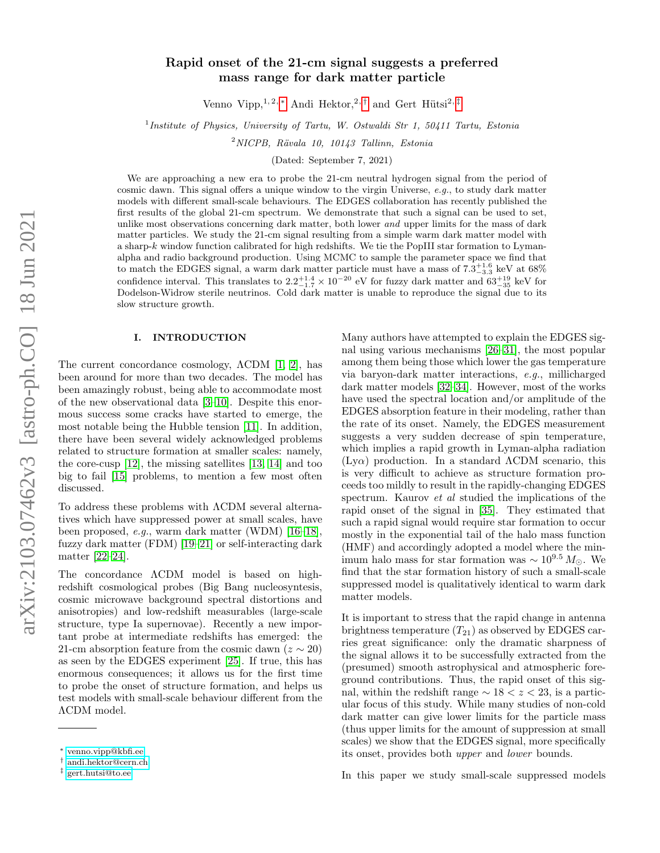# Rapid onset of the 21-cm signal suggests a preferred mass range for dark matter particle

Venno Vipp,<sup>1, 2, [∗](#page-0-0)</sup> Andi Hektor,<sup>2,[†](#page-0-1)</sup> and Gert Hütsi<sup>2,[‡](#page-0-2)</sup>

<sup>1</sup>Institute of Physics, University of Tartu, W. Ostwaldi Str 1, 50411 Tartu, Estonia

 $2$ NICPB, Rävala 10, 10143 Tallinn, Estonia

(Dated: September 7, 2021)

We are approaching a new era to probe the 21-cm neutral hydrogen signal from the period of cosmic dawn. This signal offers a unique window to the virgin Universe, e.g., to study dark matter models with different small-scale behaviours. The EDGES collaboration has recently published the first results of the global 21-cm spectrum. We demonstrate that such a signal can be used to set, unlike most observations concerning dark matter, both lower and upper limits for the mass of dark matter particles. We study the 21-cm signal resulting from a simple warm dark matter model with a sharp-k window function calibrated for high redshifts. We tie the PopIII star formation to Lymanalpha and radio background production. Using MCMC to sample the parameter space we find that to match the EDGES signal, a warm dark matter particle must have a mass of  $7.\overline{3}^{+1.6}_{-3.3}$  keV at 68% confidence interval. This translates to  $2.2^{+1.4}_{-1.7} \times 10^{-20}$  eV for fuzzy dark matter and  $63^{+19}_{-35}$  keV for Dodelson-Widrow sterile neutrinos. Cold dark matter is unable to reproduce the signal due to its slow structure growth.

# I. INTRODUCTION

The current concordance cosmology, ΛCDM [\[1,](#page-7-0) [2\]](#page-7-1), has been around for more than two decades. The model has been amazingly robust, being able to accommodate most of the new observational data [\[3](#page-7-2)[–10\]](#page-7-3). Despite this enormous success some cracks have started to emerge, the most notable being the Hubble tension [\[11\]](#page-7-4). In addition, there have been several widely acknowledged problems related to structure formation at smaller scales: namely, the core-cusp [\[12\]](#page-7-5), the missing satellites [\[13,](#page-7-6) [14\]](#page-7-7) and too big to fail [\[15\]](#page-7-8) problems, to mention a few most often discussed.

To address these problems with ΛCDM several alternatives which have suppressed power at small scales, have been proposed, e.g., warm dark matter (WDM) [\[16–](#page-7-9)[18\]](#page-7-10), fuzzy dark matter (FDM) [\[19](#page-7-11)[–21\]](#page-7-12) or self-interacting dark matter [\[22](#page-7-13)[–24\]](#page-7-14).

The concordance ΛCDM model is based on highredshift cosmological probes (Big Bang nucleosyntesis, cosmic microwave background spectral distortions and anisotropies) and low-redshift measurables (large-scale structure, type Ia supernovae). Recently a new important probe at intermediate redshifts has emerged: the 21-cm absorption feature from the cosmic dawn ( $z \sim 20$ ) as seen by the EDGES experiment [\[25\]](#page-7-15). If true, this has enormous consequences; it allows us for the first time to probe the onset of structure formation, and helps us test models with small-scale behaviour different from the ΛCDM model.

Many authors have attempted to explain the EDGES signal using various mechanisms [\[26–](#page-7-16)[31\]](#page-7-17), the most popular among them being those which lower the gas temperature via baryon-dark matter interactions, e.g., millicharged dark matter models [\[32–](#page-7-18)[34\]](#page-7-19). However, most of the works have used the spectral location and/or amplitude of the EDGES absorption feature in their modeling, rather than the rate of its onset. Namely, the EDGES measurement suggests a very sudden decrease of spin temperature, which implies a rapid growth in Lyman-alpha radiation  $(Ly\alpha)$  production. In a standard  $\Lambda$ CDM scenario, this is very difficult to achieve as structure formation proceeds too mildly to result in the rapidly-changing EDGES spectrum. Kaurov et al studied the implications of the rapid onset of the signal in [\[35\]](#page-7-20). They estimated that such a rapid signal would require star formation to occur mostly in the exponential tail of the halo mass function (HMF) and accordingly adopted a model where the minimum halo mass for star formation was  $\sim 10^{9.5} M_{\odot}$ . We find that the star formation history of such a small-scale suppressed model is qualitatively identical to warm dark matter models.

It is important to stress that the rapid change in antenna brightness temperature  $(T_{21})$  as observed by EDGES carries great significance: only the dramatic sharpness of the signal allows it to be successfully extracted from the (presumed) smooth astrophysical and atmospheric foreground contributions. Thus, the rapid onset of this signal, within the redshift range  $\sim 18 < z < 23$ , is a particular focus of this study. While many studies of non-cold dark matter can give lower limits for the particle mass (thus upper limits for the amount of suppression at small scales) we show that the EDGES signal, more specifically its onset, provides both upper and lower bounds.

In this paper we study small-scale suppressed models

<span id="page-0-0"></span><sup>∗</sup> [venno.vipp@kbfi.ee](mailto:venno.vipp@kbfi.ee)

<span id="page-0-1"></span><sup>†</sup> [andi.hektor@cern.ch](mailto:andi.hektor@cern.ch)

<span id="page-0-2"></span><sup>‡</sup> [gert.hutsi@to.ee](mailto:gert.hutsi@to.ee)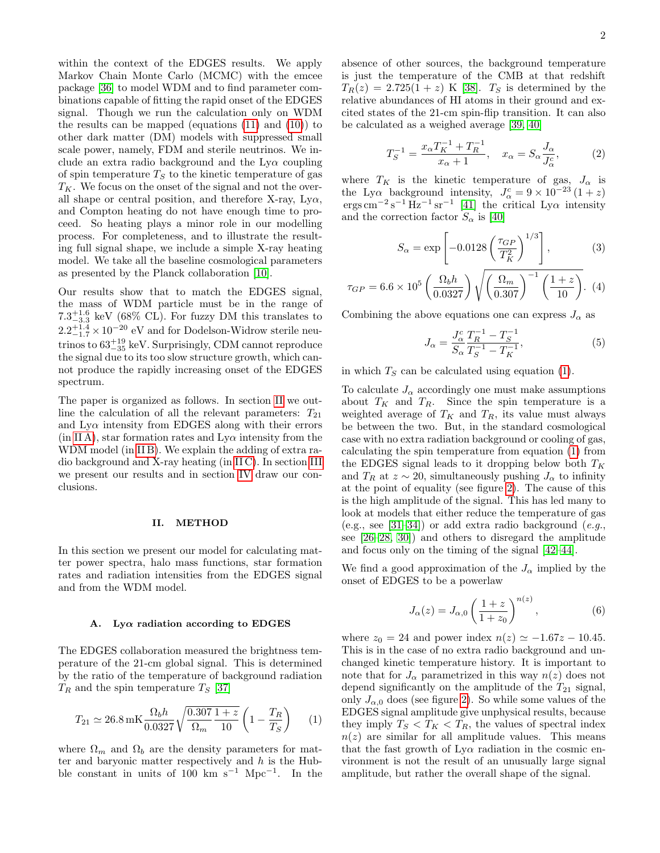within the context of the EDGES results. We apply Markov Chain Monte Carlo (MCMC) with the emcee package [\[36\]](#page-8-0) to model WDM and to find parameter combinations capable of fitting the rapid onset of the EDGES signal. Though we run the calculation only on WDM the results can be mapped (equations  $(11)$  and  $(10)$ ) to other dark matter (DM) models with suppressed small scale power, namely, FDM and sterile neutrinos. We include an extra radio background and the  $Ly\alpha$  coupling of spin temperature  $T<sub>S</sub>$  to the kinetic temperature of gas  $T_K$ . We focus on the onset of the signal and not the overall shape or central position, and therefore X-ray,  $Ly\alpha$ , and Compton heating do not have enough time to proceed. So heating plays a minor role in our modelling process. For completeness, and to illustrate the resulting full signal shape, we include a simple X-ray heating model. We take all the baseline cosmological parameters as presented by the Planck collaboration [\[10\]](#page-7-3).

Our results show that to match the EDGES signal, the mass of WDM particle must be in the range of  $7.3^{+1.6}_{-3.3}$  keV (68% CL). For fuzzy DM this translates to  $2.2^{+1.4}_{-1.7} \times 10^{-20}$  eV and for Dodelson-Widrow sterile neutrinos to  $63^{+19}_{-35}$  keV. Surprisingly, CDM cannot reproduce the signal due to its too slow structure growth, which cannot produce the rapidly increasing onset of the EDGES spectrum.

The paper is organized as follows. In section [II](#page-1-0) we outline the calculation of all the relevant parameters:  $T_{21}$ and  $Ly\alpha$  intensity from EDGES along with their errors  $(in II A)$  $(in II A)$ , star formation rates and  $Ly\alpha$  intensity from the WDM model (in [II B\)](#page-2-2). We explain the adding of extra radio background and X-ray heating (in [II C\)](#page-4-0). In section [III](#page-4-1) we present our results and in section [IV](#page-6-0) draw our conclusions.

#### <span id="page-1-0"></span>II. METHOD

In this section we present our model for calculating matter power spectra, halo mass functions, star formation rates and radiation intensities from the EDGES signal and from the WDM model.

#### <span id="page-1-1"></span>A. Ly $\alpha$  radiation according to EDGES

The EDGES collaboration measured the brightness temperature of the 21-cm global signal. This is determined by the ratio of the temperature of background radiation  $T_R$  and the spin temperature  $T_S$  [\[37\]](#page-8-1)

$$
T_{21} \simeq 26.8 \,\text{mK} \frac{\Omega_b h}{0.0327} \sqrt{\frac{0.307}{\Omega_m} \frac{1+z}{10}} \left(1 - \frac{T_R}{T_S}\right) \tag{1}
$$

where  $\Omega_m$  and  $\Omega_b$  are the density parameters for matter and baryonic matter respectively and  $h$  is the Hubble constant in units of 100 km s<sup>-1</sup> Mpc<sup>-1</sup>. In the absence of other sources, the background temperature is just the temperature of the CMB at that redshift  $T_R(z) = 2.725(1+z)$  K [\[38\]](#page-8-2).  $T_S$  is determined by the relative abundances of HI atoms in their ground and excited states of the 21-cm spin-flip transition. It can also be calculated as a weighed average [\[39,](#page-8-3) [40\]](#page-8-4)

$$
T_S^{-1} = \frac{x_\alpha T_K^{-1} + T_R^{-1}}{x_\alpha + 1}, \quad x_\alpha = S_\alpha \frac{J_\alpha}{J_\alpha^c},
$$
 (2)

where  $T_K$  is the kinetic temperature of gas,  $J_\alpha$  is the Ly $\alpha$  background intensity,  $J^c_\alpha = 9 \times 10^{-23} (1+z)$ ergs cm<sup>-2</sup>s<sup>-1</sup> Hz<sup>-1</sup> sr<sup>-1</sup> [\[41\]](#page-8-5) the critical Ly $\alpha$  intensity and the correction factor  $S_{\alpha}$  is [\[40\]](#page-8-4)

$$
S_{\alpha} = \exp\left[-0.0128\left(\frac{\tau_{GP}}{T_K^2}\right)^{1/3}\right],\tag{3}
$$

$$
\tau_{GP} = 6.6 \times 10^5 \left( \frac{\Omega_b h}{0.0327} \right) \sqrt{\left( \frac{\Omega_m}{0.307} \right)^{-1} \left( \frac{1+z}{10} \right)}. (4)
$$

Combining the above equations one can express  $J_{\alpha}$  as

$$
J_{\alpha} = \frac{J_{\alpha}^{c}}{S_{\alpha}} \frac{T_{R}^{-1} - T_{S}^{-1}}{T_{S}^{-1} - T_{K}^{-1}},
$$
\n(5)

in which  $T<sub>S</sub>$  can be calculated using equation [\(1\)](#page-1-2).

To calculate  $J_{\alpha}$  accordingly one must make assumptions about  $T_K$  and  $T_R$ . Since the spin temperature is a weighted average of  $T_K$  and  $T_R$ , its value must always be between the two. But, in the standard cosmological case with no extra radiation background or cooling of gas, calculating the spin temperature from equation [\(1\)](#page-1-2) from the EDGES signal leads to it dropping below both  $T_K$ and  $T_R$  at  $z \sim 20$ , simultaneously pushing  $J_\alpha$  to infinity at the point of equality (see figure [2\)](#page-3-0). The cause of this is the high amplitude of the signal. This has led many to look at models that either reduce the temperature of gas (e.g., see [\[31–](#page-7-17)[34\]](#page-7-19)) or add extra radio background (e.g., see [\[26](#page-7-16)[–28,](#page-7-21) [30\]](#page-7-22)) and others to disregard the amplitude and focus only on the timing of the signal [\[42–](#page-8-6)[44\]](#page-8-7).

We find a good approximation of the  $J_{\alpha}$  implied by the onset of EDGES to be a powerlaw

$$
J_{\alpha}(z) = J_{\alpha,0} \left(\frac{1+z}{1+z_0}\right)^{n(z)},\tag{6}
$$

<span id="page-1-2"></span>where  $z_0 = 24$  and power index  $n(z) \simeq -1.67z - 10.45$ . This is in the case of no extra radio background and unchanged kinetic temperature history. It is important to note that for  $J_{\alpha}$  parametrized in this way  $n(z)$  does not depend significantly on the amplitude of the  $T_{21}$  signal, only  $J_{\alpha,0}$  does (see figure [2\)](#page-3-0). So while some values of the EDGES signal amplitude give unphysical results, because they imply  $T_S < T_K < T_R$ , the values of spectral index  $n(z)$  are similar for all amplitude values. This means that the fast growth of  $Ly\alpha$  radiation in the cosmic environment is not the result of an unusually large signal amplitude, but rather the overall shape of the signal.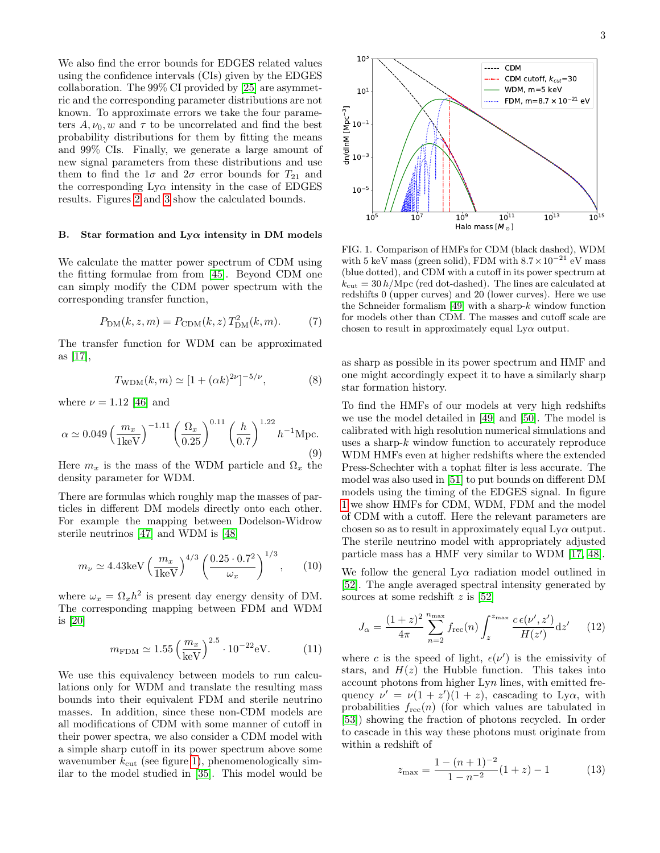We also find the error bounds for EDGES related values using the confidence intervals (CIs) given by the EDGES collaboration. The 99% CI provided by [\[25\]](#page-7-15) are asymmetric and the corresponding parameter distributions are not known. To approximate errors we take the four parameters  $A, \nu_0, w$  and  $\tau$  to be uncorrelated and find the best probability distributions for them by fitting the means and 99% CIs. Finally, we generate a large amount of new signal parameters from these distributions and use them to find the  $1\sigma$  and  $2\sigma$  error bounds for  $T_{21}$  and the corresponding  $Ly\alpha$  intensity in the case of EDGES results. Figures [2](#page-3-0) and [3](#page-3-1) show the calculated bounds.

#### <span id="page-2-2"></span>B. Star formation and  $Ly\alpha$  intensity in DM models

We calculate the matter power spectrum of CDM using the fitting formulae from from [\[45\]](#page-8-8). Beyond CDM one can simply modify the CDM power spectrum with the corresponding transfer function,

$$
P_{\rm DM}(k, z, m) = P_{\rm CDM}(k, z) T_{\rm DM}^2(k, m). \tag{7}
$$

The transfer function for WDM can be approximated as [\[17\]](#page-7-23),

$$
T_{\text{WDM}}(k, m) \simeq [1 + (\alpha k)^{2\nu}]^{-5/\nu},
$$
 (8)

where  $\nu = 1.12$  [\[46\]](#page-8-9) and

$$
\alpha \simeq 0.049 \left(\frac{m_x}{1 \text{keV}}\right)^{-1.11} \left(\frac{\Omega_x}{0.25}\right)^{0.11} \left(\frac{h}{0.7}\right)^{1.22} h^{-1} \text{Mpc.}
$$
\n(9)

Here  $m_x$  is the mass of the WDM particle and  $\Omega_x$  the density parameter for WDM.

There are formulas which roughly map the masses of particles in different DM models directly onto each other. For example the mapping between Dodelson-Widrow sterile neutrinos [\[47\]](#page-8-10) and WDM is [\[48\]](#page-8-11)

<span id="page-2-1"></span>
$$
m_{\nu} \simeq 4.43 \text{keV} \left(\frac{m_x}{1 \text{keV}}\right)^{4/3} \left(\frac{0.25 \cdot 0.7^2}{\omega_x}\right)^{1/3},\qquad(10)
$$

where  $\omega_x = \Omega_x h^2$  is present day energy density of DM. The corresponding mapping between FDM and WDM is [\[20\]](#page-7-24)

<span id="page-2-0"></span>
$$
m_{\text{FDM}} \simeq 1.55 \left(\frac{m_x}{\text{keV}}\right)^{2.5} \cdot 10^{-22} \text{eV}.
$$
 (11)

We use this equivalency between models to run calculations only for WDM and translate the resulting mass bounds into their equivalent FDM and sterile neutrino masses. In addition, since these non-CDM models are all modifications of CDM with some manner of cutoff in their power spectra, we also consider a CDM model with a simple sharp cutoff in its power spectrum above some wavenumber  $k_{\text{cut}}$  (see figure [1\)](#page-2-3), phenomenologically similar to the model studied in [\[35\]](#page-7-20). This model would be



<span id="page-2-3"></span>FIG. 1. Comparison of HMFs for CDM (black dashed), WDM with 5 keV mass (green solid), FDM with  $8.7 \times 10^{-21}$  eV mass (blue dotted), and CDM with a cutoff in its power spectrum at  $k_{\text{cut}} = 30 h/\text{Mpc}$  (red dot-dashed). The lines are calculated at redshifts 0 (upper curves) and 20 (lower curves). Here we use the Schneider formalism  $[49]$  with a sharp- $k$  window function for models other than CDM. The masses and cutoff scale are chosen to result in approximately equal  $Ly\alpha$  output.

as sharp as possible in its power spectrum and HMF and one might accordingly expect it to have a similarly sharp star formation history.

To find the HMFs of our models at very high redshifts we use the model detailed in [\[49\]](#page-8-12) and [\[50\]](#page-8-13). The model is calibrated with high resolution numerical simulations and uses a sharp-k window function to accurately reproduce WDM HMFs even at higher redshifts where the extended Press-Schechter with a tophat filter is less accurate. The model was also used in [\[51\]](#page-8-14) to put bounds on different DM models using the timing of the EDGES signal. In figure [1](#page-2-3) we show HMFs for CDM, WDM, FDM and the model of CDM with a cutoff. Here the relevant parameters are chosen so as to result in approximately equal  $L<sub>V</sub>\alpha$  output. The sterile neutrino model with appropriately adjusted particle mass has a HMF very similar to WDM [\[17,](#page-7-23) [48\]](#page-8-11).

We follow the general  $Ly\alpha$  radiation model outlined in [\[52\]](#page-8-15). The angle averaged spectral intensity generated by sources at some redshift  $z$  is [\[52\]](#page-8-15)

$$
J_{\alpha} = \frac{(1+z)^2}{4\pi} \sum_{n=2}^{n_{\text{max}}} f_{\text{rec}}(n) \int_{z}^{z_{\text{max}}} \frac{c \epsilon(\nu', z')}{H(z')} \text{d}z' \qquad (12)
$$

where c is the speed of light,  $\epsilon(\nu')$  is the emissivity of stars, and  $H(z)$  the Hubble function. This takes into account photons from higher Lyn lines, with emitted frequency  $\nu' = \nu(1 + z')(1 + z)$ , cascading to Ly $\alpha$ , with probabilities  $f_{\text{rec}}(n)$  (for which values are tabulated in [\[53\]](#page-8-16)) showing the fraction of photons recycled. In order to cascade in this way these photons must originate from within a redshift of

$$
z_{\max} = \frac{1 - (n+1)^{-2}}{1 - n^{-2}} (1 + z) - 1 \tag{13}
$$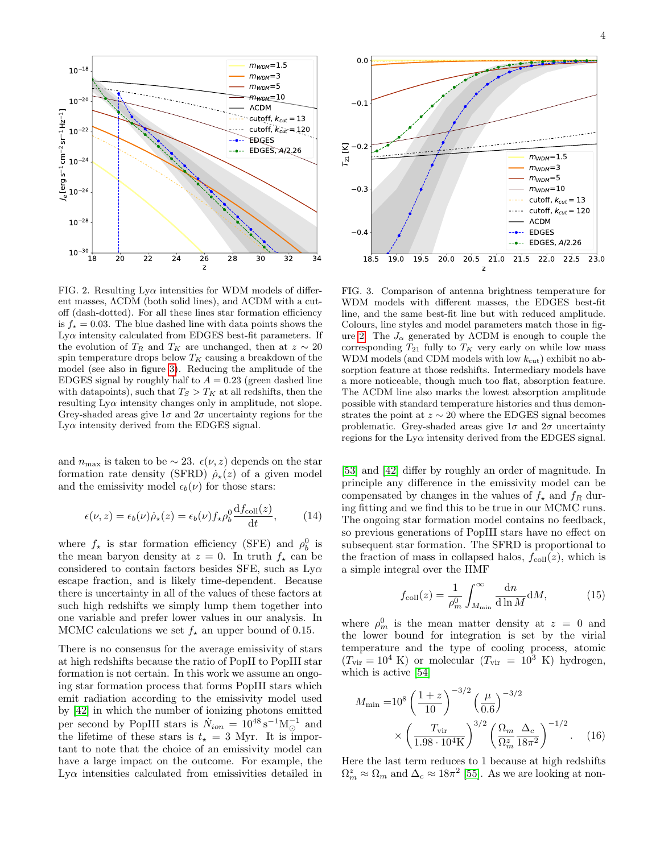

<span id="page-3-0"></span>FIG. 2. Resulting  $Ly\alpha$  intensities for WDM models of different masses, ΛCDM (both solid lines), and ΛCDM with a cutoff (dash-dotted). For all these lines star formation efficiency is  $f_* = 0.03$ . The blue dashed line with data points shows the  $Ly\alpha$  intensity calculated from EDGES best-fit parameters. If the evolution of  $T_R$  and  $T_K$  are unchanged, then at  $z \sim 20$ spin temperature drops below  $T_K$  causing a breakdown of the model (see also in figure [3\)](#page-3-1). Reducing the amplitude of the EDGES signal by roughly half to  $A = 0.23$  (green dashed line with datapoints), such that  $T_S > T_K$  at all redshifts, then the resulting  $Ly\alpha$  intensity changes only in amplitude, not slope. Grey-shaded areas give  $1\sigma$  and  $2\sigma$  uncertainty regions for the  $Ly\alpha$  intensity derived from the EDGES signal.

and  $n_{\text{max}}$  is taken to be  $\sim 23$ .  $\epsilon(\nu, z)$  depends on the star formation rate density (SFRD)  $\dot{\rho}_\star(z)$  of a given model and the emissivity model  $\epsilon_b(\nu)$  for those stars:

$$
\epsilon(\nu, z) = \epsilon_b(\nu)\dot{\rho}_\star(z) = \epsilon_b(\nu)f_\star\rho_b^0 \frac{\mathrm{d}f_{\rm coll}(z)}{\mathrm{d}t},\qquad(14)
$$

where  $f_{\star}$  is star formation efficiency (SFE) and  $\rho_b^0$  is the mean baryon density at  $z = 0$ . In truth  $f_{\star}$  can be considered to contain factors besides SFE, such as  $Ly\alpha$ escape fraction, and is likely time-dependent. Because there is uncertainty in all of the values of these factors at such high redshifts we simply lump them together into one variable and prefer lower values in our analysis. In MCMC calculations we set  $f_{\star}$  an upper bound of 0.15.

There is no consensus for the average emissivity of stars at high redshifts because the ratio of PopII to PopIII star formation is not certain. In this work we assume an ongoing star formation process that forms PopIII stars which emit radiation according to the emissivity model used by [\[42\]](#page-8-6) in which the number of ionizing photons emitted per second by PopIII stars is  $\dot{N}_{ion} = 10^{48} \,\mathrm{s}^{-1} \mathrm{M}_{\odot}^{-1}$  and the lifetime of these stars is  $t_{\star} = 3$  Myr. It is important to note that the choice of an emissivity model can have a large impact on the outcome. For example, the Lyα intensities calculated from emissivities detailed in



<span id="page-3-1"></span>FIG. 3. Comparison of antenna brightness temperature for WDM models with different masses, the EDGES best-fit line, and the same best-fit line but with reduced amplitude. Colours, line styles and model parameters match those in fig-ure [2.](#page-3-0) The  $J_{\alpha}$  generated by  $\Lambda$ CDM is enough to couple the corresponding  $T_{21}$  fully to  $T_K$  very early on while low mass WDM models (and CDM models with low  $k_{\text{cut}}$ ) exhibit no absorption feature at those redshifts. Intermediary models have a more noticeable, though much too flat, absorption feature. The ΛCDM line also marks the lowest absorption amplitude possible with standard temperature histories and thus demonstrates the point at  $z \sim 20$  where the EDGES signal becomes problematic. Grey-shaded areas give  $1\sigma$  and  $2\sigma$  uncertainty regions for the  $Ly\alpha$  intensity derived from the EDGES signal.

[\[53\]](#page-8-16) and [\[42\]](#page-8-6) differ by roughly an order of magnitude. In principle any difference in the emissivity model can be compensated by changes in the values of  $f_{\star}$  and  $f_R$  during fitting and we find this to be true in our MCMC runs. The ongoing star formation model contains no feedback, so previous generations of PopIII stars have no effect on subsequent star formation. The SFRD is proportional to the fraction of mass in collapsed halos,  $f_{\text{coll}}(z)$ , which is a simple integral over the HMF

$$
f_{\text{coll}}(z) = \frac{1}{\rho_m^0} \int_{M_{\text{min}}}^{\infty} \frac{\text{d}n}{\text{d}\ln M} \text{d}M,\tag{15}
$$

where  $\rho_m^0$  is the mean matter density at  $z = 0$  and the lower bound for integration is set by the virial temperature and the type of cooling process, atomic  $(T_{\text{vir}} = 10^4 \text{ K})$  or molecular  $(T_{\text{vir}} = 10^3 \text{ K})$  hydrogen, which is active [\[54\]](#page-8-17)

$$
M_{\min} = 10^8 \left(\frac{1+z}{10}\right)^{-3/2} \left(\frac{\mu}{0.6}\right)^{-3/2}
$$

$$
\times \left(\frac{T_{\rm vir}}{1.98 \cdot 10^4 \text{K}}\right)^{3/2} \left(\frac{\Omega_m}{\Omega_m^2} \frac{\Delta_c}{18\pi^2}\right)^{-1/2} . \quad (16)
$$

Here the last term reduces to 1 because at high redshifts  $\Omega_m^z \approx \Omega_m$  and  $\Delta_c \approx 18\pi^2$  [\[55\]](#page-8-18). As we are looking at non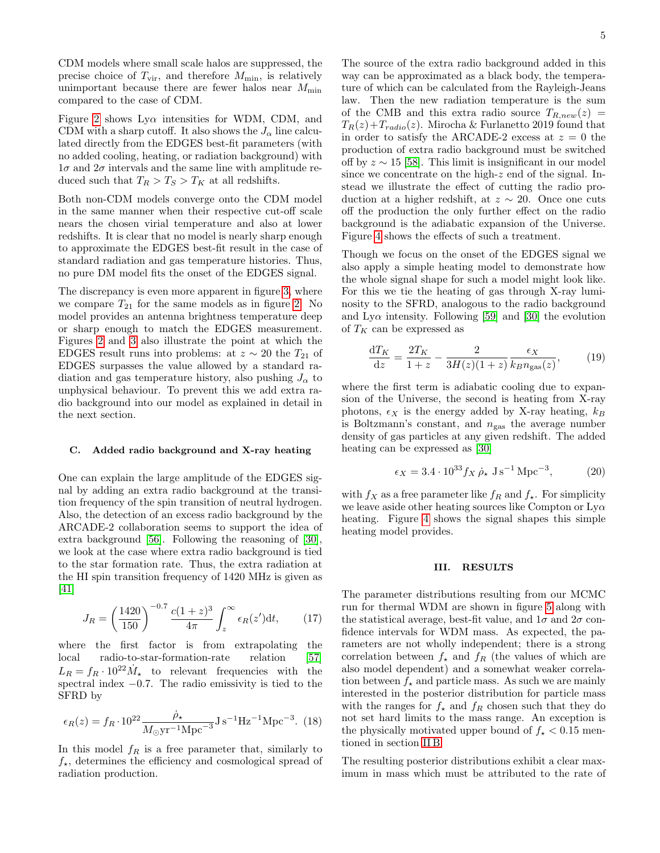CDM models where small scale halos are suppressed, the precise choice of  $T_{\text{vir}}$ , and therefore  $M_{\text{min}}$ , is relatively unimportant because there are fewer halos near  $M_{\text{min}}$ compared to the case of CDM.

Figure [2](#page-3-0) shows  $Ly\alpha$  intensities for WDM, CDM, and CDM with a sharp cutoff. It also shows the  $J_{\alpha}$  line calculated directly from the EDGES best-fit parameters (with no added cooling, heating, or radiation background) with  $1\sigma$  and  $2\sigma$  intervals and the same line with amplitude reduced such that  $T_R > T_S > T_K$  at all redshifts.

Both non-CDM models converge onto the CDM model in the same manner when their respective cut-off scale nears the chosen virial temperature and also at lower redshifts. It is clear that no model is nearly sharp enough to approximate the EDGES best-fit result in the case of standard radiation and gas temperature histories. Thus, no pure DM model fits the onset of the EDGES signal.

The discrepancy is even more apparent in figure [3,](#page-3-1) where we compare  $T_{21}$  for the same models as in figure [2.](#page-3-0) No model provides an antenna brightness temperature deep or sharp enough to match the EDGES measurement. Figures [2](#page-3-0) and [3](#page-3-1) also illustrate the point at which the EDGES result runs into problems: at  $z \sim 20$  the  $T_{21}$  of EDGES surpasses the value allowed by a standard radiation and gas temperature history, also pushing  $J_{\alpha}$  to unphysical behaviour. To prevent this we add extra radio background into our model as explained in detail in the next section.

#### <span id="page-4-0"></span>C. Added radio background and X-ray heating

One can explain the large amplitude of the EDGES signal by adding an extra radio background at the transition frequency of the spin transition of neutral hydrogen. Also, the detection of an excess radio background by the ARCADE-2 collaboration seems to support the idea of extra background [\[56\]](#page-8-19). Following the reasoning of [\[30\]](#page-7-22), we look at the case where extra radio background is tied to the star formation rate. Thus, the extra radiation at the HI spin transition frequency of 1420 MHz is given as [\[41\]](#page-8-5)

$$
J_R = \left(\frac{1420}{150}\right)^{-0.7} \frac{c(1+z)^3}{4\pi} \int_z^{\infty} \epsilon_R(z') \mathrm{d}t,\qquad(17)
$$

where the first factor is from extrapolating the local radio-to-star-formation-rate relation [\[57\]](#page-8-20)  $L_R = f_R \cdot 10^{22} \dot{M}_{\star}$  to relevant frequencies with the spectral index −0.7. The radio emissivity is tied to the SFRD by

$$
\epsilon_R(z) = f_R \cdot 10^{22} \frac{\dot{\rho}_\star}{M_\odot \text{yr}^{-1} \text{Mpc}^{-3}} \text{J s}^{-1} \text{Hz}^{-1} \text{Mpc}^{-3}. (18)
$$

In this model  $f_R$  is a free parameter that, similarly to  $f_{\star}$ , determines the efficiency and cosmological spread of radiation production.

The source of the extra radio background added in this way can be approximated as a black body, the temperature of which can be calculated from the Rayleigh-Jeans law. Then the new radiation temperature is the sum of the CMB and this extra radio source  $T_{R,new}(z)$  =  $T_R(z)+T_{radio}(z)$ . Mirocha & Furlanetto 2019 found that in order to satisfy the ARCADE-2 excess at  $z = 0$  the production of extra radio background must be switched off by  $z \sim 15$  [\[58\]](#page-8-21). This limit is insignificant in our model since we concentrate on the high-z end of the signal. Instead we illustrate the effect of cutting the radio production at a higher redshift, at  $z \sim 20$ . Once one cuts off the production the only further effect on the radio background is the adiabatic expansion of the Universe. Figure [4](#page-5-0) shows the effects of such a treatment.

Though we focus on the onset of the EDGES signal we also apply a simple heating model to demonstrate how the whole signal shape for such a model might look like. For this we tie the heating of gas through X-ray luminosity to the SFRD, analogous to the radio background and Ly $\alpha$  intensity. Following [\[59\]](#page-8-22) and [\[30\]](#page-7-22) the evolution of  $T_K$  can be expressed as

$$
\frac{\mathrm{d}T_K}{\mathrm{d}z} = \frac{2T_K}{1+z} - \frac{2}{3H(z)(1+z)} \frac{\epsilon_X}{k_B n_{\text{gas}}(z)},\tag{19}
$$

where the first term is adiabatic cooling due to expansion of the Universe, the second is heating from X-ray photons,  $\epsilon_X$  is the energy added by X-ray heating,  $k_B$ is Boltzmann's constant, and  $n_{\rm gas}$  the average number density of gas particles at any given redshift. The added heating can be expressed as [\[30\]](#page-7-22)

$$
\epsilon_X = 3.4 \cdot 10^{33} f_X \,\dot{\rho}_\star \,\text{J s}^{-1} \,\text{Mpc}^{-3},\tag{20}
$$

with  $f_X$  as a free parameter like  $f_R$  and  $f_*$ . For simplicity we leave aside other heating sources like Compton or  $Ly\alpha$ heating. Figure [4](#page-5-0) shows the signal shapes this simple heating model provides.

### <span id="page-4-1"></span>III. RESULTS

The parameter distributions resulting from our MCMC run for thermal WDM are shown in figure [5](#page-6-1) along with the statistical average, best-fit value, and  $1\sigma$  and  $2\sigma$  confidence intervals for WDM mass. As expected, the parameters are not wholly independent; there is a strong correlation between  $f_{\star}$  and  $f_{R}$  (the values of which are also model dependent) and a somewhat weaker correlation between  $f_{\star}$  and particle mass. As such we are mainly interested in the posterior distribution for particle mass with the ranges for  $f_{\star}$  and  $f_R$  chosen such that they do not set hard limits to the mass range. An exception is the physically motivated upper bound of  $f_{\star}$  < 0.15 mentioned in section [II B.](#page-2-2)

The resulting posterior distributions exhibit a clear maximum in mass which must be attributed to the rate of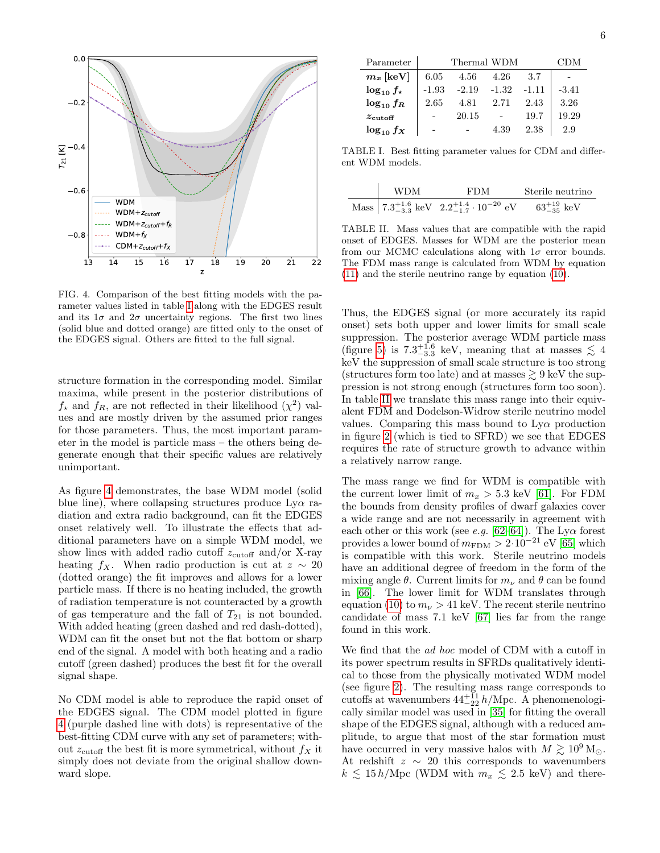

<span id="page-5-0"></span>FIG. 4. Comparison of the best fitting models with the parameter values listed in table [I](#page-5-1) along with the EDGES result and its  $1\sigma$  and  $2\sigma$  uncertainty regions. The first two lines (solid blue and dotted orange) are fitted only to the onset of the EDGES signal. Others are fitted to the full signal.

structure formation in the corresponding model. Similar maxima, while present in the posterior distributions of  $f_{\star}$  and  $f_R$ , are not reflected in their likelihood  $(\chi^2)$  values and are mostly driven by the assumed prior ranges for those parameters. Thus, the most important parameter in the model is particle mass – the others being degenerate enough that their specific values are relatively unimportant.

As figure [4](#page-5-0) demonstrates, the base WDM model (solid blue line), where collapsing structures produce  $Ly\alpha$  radiation and extra radio background, can fit the EDGES onset relatively well. To illustrate the effects that additional parameters have on a simple WDM model, we show lines with added radio cutoff  $z_{\text{cutoff}}$  and/or X-ray heating  $f_X$ . When radio production is cut at  $z \sim 20$ (dotted orange) the fit improves and allows for a lower particle mass. If there is no heating included, the growth of radiation temperature is not counteracted by a growth of gas temperature and the fall of  $T_{21}$  is not bounded. With added heating (green dashed and red dash-dotted), WDM can fit the onset but not the flat bottom or sharp end of the signal. A model with both heating and a radio cutoff (green dashed) produces the best fit for the overall signal shape.

No CDM model is able to reproduce the rapid onset of the EDGES signal. The CDM model plotted in figure [4](#page-5-0) (purple dashed line with dots) is representative of the best-fitting CDM curve with any set of parameters; without  $z_{\text{cutoff}}$  the best fit is more symmetrical, without  $f_X$  it simply does not deviate from the original shallow downward slope.

| Parameter             | Thermal WDM |         |         |         | - 11 D M |
|-----------------------|-------------|---------|---------|---------|----------|
| $m_x$ [keV]           | 6.05        | 4.56    | 4.26    | 3.7     |          |
| $\log_{10} f_{\star}$ | $-1.93$     | $-2.19$ | $-1.32$ | $-1.11$ | $-3.41$  |
| $\log_{10} f_R$       | 2.65        | 4.81    | 2.71    | 2.43    | 3.26     |
| $z_{\text{cutoff}}$   |             | 20.15   |         | 19.7    | 19.29    |
| $\log_{10} f_X$       |             |         | 4.39    | 2.38    | 2.9      |

<span id="page-5-1"></span>TABLE I. Best fitting parameter values for CDM and different WDM models.

| WDM | <b>FDM</b>                                                         | Sterile neutrino          |  |
|-----|--------------------------------------------------------------------|---------------------------|--|
|     | Mass $7.3^{+1.6}_{-3.3}$ keV $2.2^{+1.4}_{-1.7} \cdot 10^{-20}$ eV | $63^{+19}_{-35}~\rm{keV}$ |  |

<span id="page-5-2"></span>TABLE II. Mass values that are compatible with the rapid onset of EDGES. Masses for WDM are the posterior mean from our MCMC calculations along with  $1\sigma$  error bounds. The FDM mass range is calculated from WDM by equation [\(11\)](#page-2-0) and the sterile neutrino range by equation [\(10\)](#page-2-1).

Thus, the EDGES signal (or more accurately its rapid onset) sets both upper and lower limits for small scale suppression. The posterior average WDM particle mass (figure [5\)](#page-6-1) is  $7.3^{+1.6}_{-3.3}$  keV, meaning that at masses  $\lesssim 4$ keV the suppression of small scale structure is too strong (structures form too late) and at masses  $\geq 9$  keV the suppression is not strong enough (structures form too soon). In table [II](#page-5-2) we translate this mass range into their equivalent FDM and Dodelson-Widrow sterile neutrino model values. Comparing this mass bound to Lyα production in figure [2](#page-3-0) (which is tied to SFRD) we see that EDGES requires the rate of structure growth to advance within a relatively narrow range.

The mass range we find for WDM is compatible with the current lower limit of  $m_x > 5.3$  keV [\[61\]](#page-8-23). For FDM the bounds from density profiles of dwarf galaxies cover a wide range and are not necessarily in agreement with each other or this work (see e.g. [\[62–](#page-8-24)[64\]](#page-8-25)). The Ly $\alpha$  forest provides a lower bound of  $m_{\text{FDM}} > 2 \cdot 10^{-21}$  eV [\[65\]](#page-8-26) which is compatible with this work. Sterile neutrino models have an additional degree of freedom in the form of the mixing angle  $\theta$ . Current limits for  $m_{\nu}$  and  $\theta$  can be found in [\[66\]](#page-8-27). The lower limit for WDM translates through equation [\(10\)](#page-2-1) to  $m_{\nu} > 41$  keV. The recent sterile neutrino candidate of mass 7.1 keV [\[67\]](#page-8-28) lies far from the range found in this work.

We find that the *ad hoc* model of CDM with a cutoff in its power spectrum results in SFRDs qualitatively identical to those from the physically motivated WDM model (see figure [2\)](#page-3-0). The resulting mass range corresponds to cutoffs at wavenumbers  $44_{-22}^{+11} h/Mpc$ . A phenomenologically similar model was used in [\[35\]](#page-7-20) for fitting the overall shape of the EDGES signal, although with a reduced amplitude, to argue that most of the star formation must have occurred in very massive halos with  $M \gtrsim 10^9$  M<sub> $\odot$ </sub>. At redshift  $z \sim 20$  this corresponds to wavenumbers  $k \lesssim 15 h/\text{Mpc}$  (WDM with  $m_x \lesssim 2.5 \text{ keV}$ ) and there-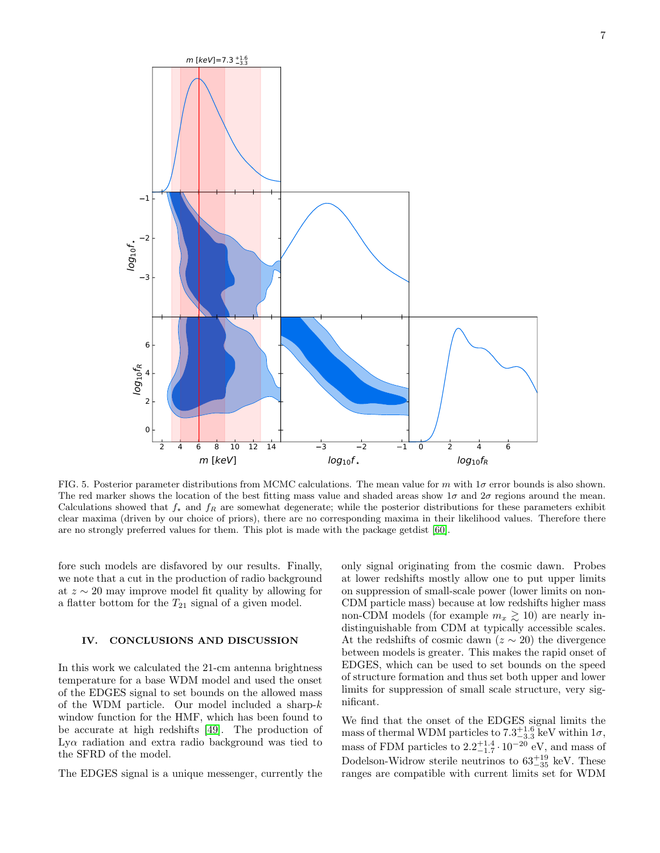

<span id="page-6-1"></span>FIG. 5. Posterior parameter distributions from MCMC calculations. The mean value for m with  $1\sigma$  error bounds is also shown. The red marker shows the location of the best fitting mass value and shaded areas show  $1\sigma$  and  $2\sigma$  regions around the mean. Calculations showed that  $f_{\star}$  and  $f_R$  are somewhat degenerate; while the posterior distributions for these parameters exhibit clear maxima (driven by our choice of priors), there are no corresponding maxima in their likelihood values. Therefore there are no strongly preferred values for them. This plot is made with the package getdist [\[60\]](#page-8-29).

fore such models are disfavored by our results. Finally, we note that a cut in the production of radio background at z ∼ 20 may improve model fit quality by allowing for a flatter bottom for the  $T_{21}$  signal of a given model.

### <span id="page-6-0"></span>IV. CONCLUSIONS AND DISCUSSION

In this work we calculated the 21-cm antenna brightness temperature for a base WDM model and used the onset of the EDGES signal to set bounds on the allowed mass of the WDM particle. Our model included a sharp- $k$ window function for the HMF, which has been found to be accurate at high redshifts [\[49\]](#page-8-12). The production of Lyα radiation and extra radio background was tied to the SFRD of the model.

The EDGES signal is a unique messenger, currently the

only signal originating from the cosmic dawn. Probes at lower redshifts mostly allow one to put upper limits on suppression of small-scale power (lower limits on non-CDM particle mass) because at low redshifts higher mass non-CDM models (for example  $m_x \gtrsim 10$ ) are nearly indistinguishable from CDM at typically accessible scales. At the redshifts of cosmic dawn ( $z \sim 20$ ) the divergence between models is greater. This makes the rapid onset of EDGES, which can be used to set bounds on the speed of structure formation and thus set both upper and lower limits for suppression of small scale structure, very significant.

We find that the onset of the EDGES signal limits the mass of thermal WDM particles to  $7.3^{+1.6}_{-3.3}$  keV within  $1\sigma$ , mass of FDM particles to  $2.2^{+1.4}_{-1.7} \cdot 10^{-20}$  eV, and mass of Dodelson-Widrow sterile neutrinos to  $63^{+19}_{-35}$  keV. These ranges are compatible with current limits set for WDM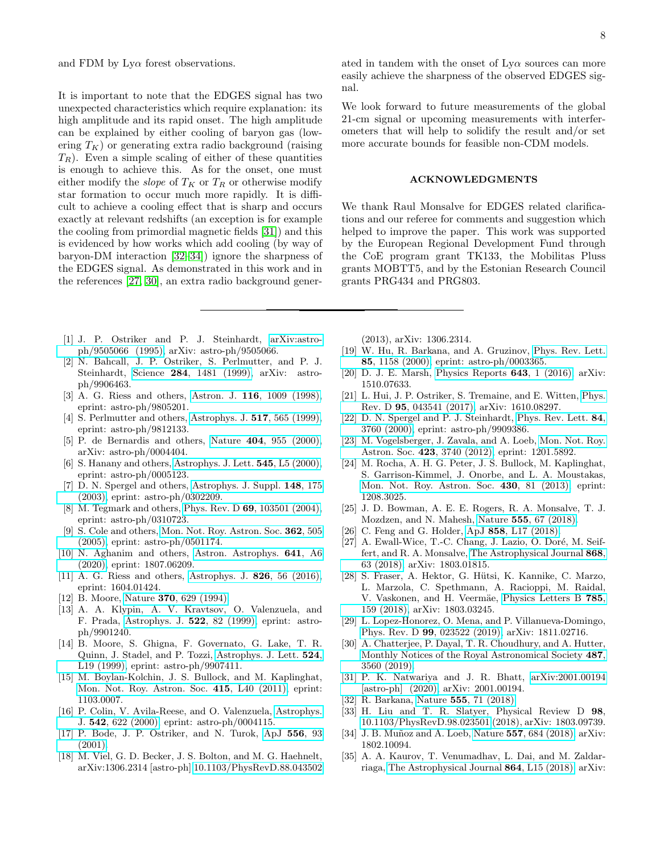It is important to note that the EDGES signal has two unexpected characteristics which require explanation: its high amplitude and its rapid onset. The high amplitude can be explained by either cooling of baryon gas (lowering  $T_K$ ) or generating extra radio background (raising  $T_R$ ). Even a simple scaling of either of these quantities is enough to achieve this. As for the onset, one must either modify the *slope* of  $T_K$  or  $T_R$  or otherwise modify star formation to occur much more rapidly. It is difficult to achieve a cooling effect that is sharp and occurs exactly at relevant redshifts (an exception is for example the cooling from primordial magnetic fields [\[31\]](#page-7-17)) and this is evidenced by how works which add cooling (by way of baryon-DM interaction [\[32](#page-7-18)[–34\]](#page-7-19)) ignore the sharpness of the EDGES signal. As demonstrated in this work and in the references [\[27,](#page-7-25) [30\]](#page-7-22), an extra radio background gener-

- <span id="page-7-0"></span>[1] J. P. Ostriker and P. J. Steinhardt, [arXiv:astro](http://arxiv.org/abs/astro-ph/9505066)[ph/9505066 \(1995\),](http://arxiv.org/abs/astro-ph/9505066) arXiv: astro-ph/9505066.
- <span id="page-7-1"></span>[2] N. Bahcall, J. P. Ostriker, S. Perlmutter, and P. J. Steinhardt, Science 284[, 1481 \(1999\),](https://doi.org/10.1126/science.284.5419.1481) arXiv: astroph/9906463.
- <span id="page-7-2"></span>[3] A. G. Riess and others, Astron. J. 116[, 1009 \(1998\),](https://doi.org/10.1086/300499) eprint: astro-ph/9805201.
- [4] S. Perlmutter and others, [Astrophys. J.](https://doi.org/10.1086/307221) **517**, 565 (1999), eprint: astro-ph/9812133.
- [5] P. de Bernardis and others, Nature 404[, 955 \(2000\),](https://doi.org/10.1038/35010035) arXiv: astro-ph/0004404.
- [6] S. Hanany and others, [Astrophys. J. Lett.](https://doi.org/10.1086/317322) **545**, L5 (2000), eprint: astro-ph/0005123.
- [7] D. N. Spergel and others, [Astrophys. J. Suppl.](https://doi.org/10.1086/377226) 148, 175 [\(2003\),](https://doi.org/10.1086/377226) eprint: astro-ph/0302209.
- [8] M. Tegmark and others, Phys. Rev. D 69[, 103501 \(2004\),](https://doi.org/10.1103/PhysRevD.69.103501) eprint: astro-ph/0310723.
- [9] S. Cole and others, [Mon. Not. Roy. Astron. Soc.](https://doi.org/10.1111/j.1365-2966.2005.09318.x) **362**, 505 [\(2005\),](https://doi.org/10.1111/j.1365-2966.2005.09318.x) eprint: astro-ph/0501174.
- <span id="page-7-3"></span>[10] N. Aghanim and others, [Astron. Astrophys.](https://doi.org/10.1051/0004-6361/201833910) 641, A6 [\(2020\),](https://doi.org/10.1051/0004-6361/201833910) eprint: 1807.06209.
- <span id="page-7-4"></span>[11] A. G. Riess and others, [Astrophys. J.](https://doi.org/10.3847/0004-637X/826/1/56) **826**, 56 (2016), eprint: 1604.01424.
- <span id="page-7-5"></span>[12] B. Moore, Nature 370[, 629 \(1994\).](https://doi.org/10.1038/370629a0)
- <span id="page-7-6"></span>[13] A. A. Klypin, A. V. Kravtsov, O. Valenzuela, and F. Prada, [Astrophys. J.](https://doi.org/10.1086/307643) 522, 82 (1999), eprint: astroph/9901240.
- <span id="page-7-7"></span>[14] B. Moore, S. Ghigna, F. Governato, G. Lake, T. R. Quinn, J. Stadel, and P. Tozzi, [Astrophys. J. Lett.](https://doi.org/10.1086/312287) 524, [L19 \(1999\),](https://doi.org/10.1086/312287) eprint: astro-ph/9907411.
- <span id="page-7-8"></span>[15] M. Boylan-Kolchin, J. S. Bullock, and M. Kaplinghat, [Mon. Not. Roy. Astron. Soc.](https://doi.org/10.1111/j.1745-3933.2011.01074.x) 415, L40 (2011), eprint: 1103.0007.
- <span id="page-7-9"></span>[16] P. Colin, V. Avila-Reese, and O. Valenzuela, [Astrophys.](https://doi.org/10.1086/317057) J. 542[, 622 \(2000\),](https://doi.org/10.1086/317057) eprint: astro-ph/0004115.
- <span id="page-7-23"></span>[17] P. Bode, J. P. Ostriker, and N. Turok, [ApJ](https://doi.org/10.1086/321541) 556, 93 [\(2001\).](https://doi.org/10.1086/321541)
- <span id="page-7-10"></span>[18] M. Viel, G. D. Becker, J. S. Bolton, and M. G. Haehnelt, arXiv:1306.2314 [astro-ph] [10.1103/PhysRevD.88.043502](https://doi.org/10.1103/PhysRevD.88.043502)

ated in tandem with the onset of  $Ly\alpha$  sources can more easily achieve the sharpness of the observed EDGES signal.

We look forward to future measurements of the global 21-cm signal or upcoming measurements with interferometers that will help to solidify the result and/or set more accurate bounds for feasible non-CDM models.

#### ACKNOWLEDGMENTS

We thank Raul Monsalve for EDGES related clarifications and our referee for comments and suggestion which helped to improve the paper. This work was supported by the European Regional Development Fund through the CoE program grant TK133, the Mobilitas Pluss grants MOBTT5, and by the Estonian Research Council grants PRG434 and PRG803.

(2013), arXiv: 1306.2314.

- <span id="page-7-11"></span>[19] W. Hu, R. Barkana, and A. Gruzinov, [Phys. Rev. Lett.](https://doi.org/10.1103/PhysRevLett.85.1158) 85[, 1158 \(2000\),](https://doi.org/10.1103/PhysRevLett.85.1158) eprint: astro-ph/0003365.
- <span id="page-7-24"></span>[20] D. J. E. Marsh, [Physics Reports](https://doi.org/10.1016/j.physrep.2016.06.005) 643, 1 (2016), arXiv: 1510.07633.
- <span id="page-7-12"></span>[21] L. Hui, J. P. Ostriker, S. Tremaine, and E. Witten, [Phys.](https://doi.org/10.1103/PhysRevD.95.043541) Rev. D 95[, 043541 \(2017\),](https://doi.org/10.1103/PhysRevD.95.043541) arXiv: 1610.08297.
- <span id="page-7-13"></span>[22] D. N. Spergel and P. J. Steinhardt, [Phys. Rev. Lett.](https://doi.org/10.1103/PhysRevLett.84.3760) 84, [3760 \(2000\),](https://doi.org/10.1103/PhysRevLett.84.3760) eprint: astro-ph/9909386.
- [23] M. Vogelsberger, J. Zavala, and A. Loeb, [Mon. Not. Roy.](https://doi.org/10.1111/j.1365-2966.2012.21182.x) Astron. Soc. 423[, 3740 \(2012\),](https://doi.org/10.1111/j.1365-2966.2012.21182.x) eprint: 1201.5892.
- <span id="page-7-14"></span>[24] M. Rocha, A. H. G. Peter, J. S. Bullock, M. Kaplinghat, S. Garrison-Kimmel, J. Onorbe, and L. A. Moustakas, [Mon. Not. Roy. Astron. Soc.](https://doi.org/10.1093/mnras/sts514) 430, 81 (2013), eprint: 1208.3025.
- <span id="page-7-15"></span>[25] J. D. Bowman, A. E. E. Rogers, R. A. Monsalve, T. J. Mozdzen, and N. Mahesh, Nature 555[, 67 \(2018\).](https://doi.org/10.1038/nature25792)
- <span id="page-7-16"></span>[26] C. Feng and G. Holder, ApJ 858[, L17 \(2018\).](https://doi.org/10.3847/2041-8213/aac0fe)
- <span id="page-7-25"></span>[27] A. Ewall-Wice, T.-C. Chang, J. Lazio, O. Doré, M. Seiffert, and R. A. Monsalve, [The Astrophysical Journal](https://doi.org/10.3847/1538-4357/aae51d) 868, [63 \(2018\),](https://doi.org/10.3847/1538-4357/aae51d) arXiv: 1803.01815.
- <span id="page-7-21"></span>[28] S. Fraser, A. Hektor, G. Hütsi, K. Kannike, C. Marzo, L. Marzola, C. Spethmann, A. Racioppi, M. Raidal, V. Vaskonen, and H. Veermäe, [Physics Letters B](https://doi.org/10.1016/j.physletb.2018.08.035) 785, [159 \(2018\),](https://doi.org/10.1016/j.physletb.2018.08.035) arXiv: 1803.03245.
- [29] L. Lopez-Honorez, O. Mena, and P. Villanueva-Domingo, Phys. Rev. D 99[, 023522 \(2019\),](https://doi.org/10.1103/PhysRevD.99.023522) arXiv: 1811.02716.
- <span id="page-7-22"></span>[30] A. Chatterjee, P. Dayal, T. R. Choudhury, and A. Hutter, [Monthly Notices of the Royal Astronomical Society](https://doi.org/10.1093/mnras/stz1444) 487, [3560 \(2019\).](https://doi.org/10.1093/mnras/stz1444)
- <span id="page-7-17"></span>[31] P. K. Natwariya and J. R. Bhatt, [arXiv:2001.00194](http://arxiv.org/abs/2001.00194) [\[astro-ph\] \(2020\),](http://arxiv.org/abs/2001.00194) arXiv: 2001.00194.
- <span id="page-7-18"></span>[32] R. Barkana, Nature 555[, 71 \(2018\).](https://doi.org/10.1038/nature25791)
- [33] H. Liu and T. R. Slatyer, Physical Review D 98, [10.1103/PhysRevD.98.023501](https://doi.org/10.1103/PhysRevD.98.023501) (2018), arXiv: 1803.09739.
- <span id="page-7-19"></span>[34] J. B. Muñoz and A. Loeb, Nature 557[, 684 \(2018\),](https://doi.org/10.1038/s41586-018-0151-x) arXiv: 1802.10094.
- <span id="page-7-20"></span>[35] A. A. Kaurov, T. Venumadhav, L. Dai, and M. Zaldarriaga, [The Astrophysical Journal](https://doi.org/10.3847/2041-8213/aada4c) 864, L15 (2018), arXiv: